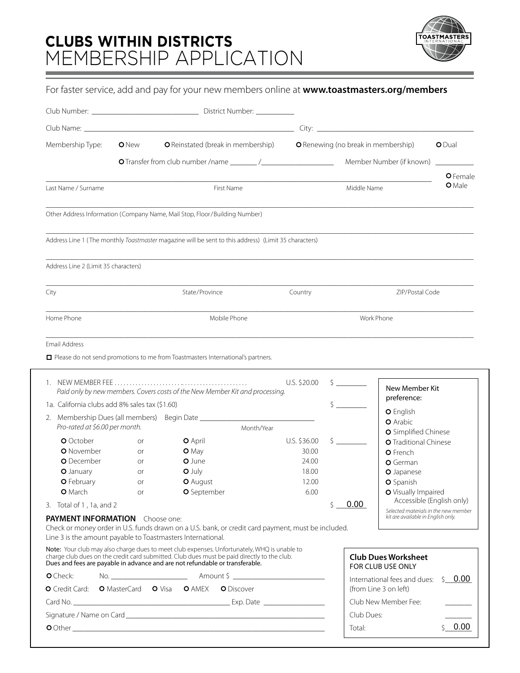# **CLUBS WITHIN DISTRICTS** MEMBERSHIP APPLICATION



# For faster service, add and pay for your new members online at **www.toastmasters.org/members**

| Membership Type:                                                                                      | <b>O</b> New | O Reinstated (break in membership)                                                                                                                                                                                                                                      |              | O Renewing (no break in membership) |                                                                            | <b>O</b> Dual |  |
|-------------------------------------------------------------------------------------------------------|--------------|-------------------------------------------------------------------------------------------------------------------------------------------------------------------------------------------------------------------------------------------------------------------------|--------------|-------------------------------------|----------------------------------------------------------------------------|---------------|--|
|                                                                                                       |              |                                                                                                                                                                                                                                                                         |              |                                     | Member Number (if known)                                                   |               |  |
|                                                                                                       |              |                                                                                                                                                                                                                                                                         |              |                                     |                                                                            | O Female      |  |
| Last Name / Surname                                                                                   |              | First Name                                                                                                                                                                                                                                                              |              | Middle Name                         |                                                                            | <b>O</b> Male |  |
|                                                                                                       |              | Other Address Information (Company Name, Mail Stop, Floor/Building Number)                                                                                                                                                                                              |              |                                     |                                                                            |               |  |
|                                                                                                       |              | Address Line 1 (The monthly Toastmaster magazine will be sent to this address) (Limit 35 characters)                                                                                                                                                                    |              |                                     |                                                                            |               |  |
| Address Line 2 (Limit 35 characters)                                                                  |              |                                                                                                                                                                                                                                                                         |              |                                     |                                                                            |               |  |
| City                                                                                                  |              | State/Province                                                                                                                                                                                                                                                          | Country      | ZIP/Postal Code                     |                                                                            |               |  |
| Home Phone                                                                                            |              | Mobile Phone                                                                                                                                                                                                                                                            |              |                                     | Work Phone                                                                 |               |  |
| Email Address                                                                                         |              | Please do not send promotions to me from Toastmasters International's partners.                                                                                                                                                                                         |              |                                     |                                                                            |               |  |
|                                                                                                       |              | Paid only by new members. Covers costs of the New Member Kit and processing.                                                                                                                                                                                            | U.S. \$20.00 |                                     | New Member Kit                                                             |               |  |
| 1a. California clubs add 8% sales tax (\$1.60)                                                        |              |                                                                                                                                                                                                                                                                         |              |                                     | preference:                                                                |               |  |
| Pro-rated at \$6.00 per month.                                                                        |              | 2. Membership Dues (all members) Begin Date ________________________                                                                                                                                                                                                    | Month/Year   |                                     | O English<br>O Arabic                                                      |               |  |
| <b>O</b> October                                                                                      | or           | <b>O</b> April                                                                                                                                                                                                                                                          | U.S. \$36.00 |                                     | O Simplified Chinese<br>O Traditional Chinese                              |               |  |
| O November                                                                                            | <b>or</b>    | O May                                                                                                                                                                                                                                                                   | 30.00        |                                     | <b>O</b> French                                                            |               |  |
| O December                                                                                            | 0r           | O June                                                                                                                                                                                                                                                                  | 24.00        |                                     | O German                                                                   |               |  |
| O January                                                                                             | or           | $O$ July                                                                                                                                                                                                                                                                | 18.00        |                                     | O Japanese                                                                 |               |  |
| <b>O</b> February                                                                                     | or           | <b>O</b> August                                                                                                                                                                                                                                                         | 12.00        |                                     | <b>O</b> Spanish                                                           |               |  |
| <b>O</b> March                                                                                        | <b>or</b>    | O September                                                                                                                                                                                                                                                             | 6.00         |                                     | O Visually Impaired                                                        |               |  |
| 3. Total of 1, 1a, and 2                                                                              |              |                                                                                                                                                                                                                                                                         |              | 0.00<br>$\mathsf{S}$                | Accessible (English only)                                                  |               |  |
| <b>PAYMENT INFORMATION</b> Choose one:<br>Line 3 is the amount payable to Toastmasters International. |              | Check or money order in U.S. funds drawn on a U.S. bank, or credit card payment, must be included.                                                                                                                                                                      |              |                                     | Selected materials in the new member<br>kit are available in English only. |               |  |
|                                                                                                       |              | Note: Your club may also charge dues to meet club expenses. Unfortunately, WHQ is unable to charge club dues on the credit card submitted. Club dues must be paid directly to the club.<br>Dues and fees are payable in advance and are not refundable or transferable. |              |                                     | <b>Club Dues Worksheet</b><br>FOR CLUB USE ONLY                            |               |  |
| O Check:                                                                                              |              |                                                                                                                                                                                                                                                                         |              |                                     | International fees and dues: $\frac{1}{2}$ 0.00                            |               |  |
|                                                                                                       |              | O Credit Card: O MasterCard O Visa O AMEX O Discover                                                                                                                                                                                                                    |              | (from Line 3 on left)               |                                                                            |               |  |
|                                                                                                       |              |                                                                                                                                                                                                                                                                         |              |                                     |                                                                            |               |  |
|                                                                                                       |              |                                                                                                                                                                                                                                                                         |              |                                     | Club New Member Fee:                                                       |               |  |
|                                                                                                       |              |                                                                                                                                                                                                                                                                         |              | Club Dues:                          |                                                                            | \$0.00        |  |